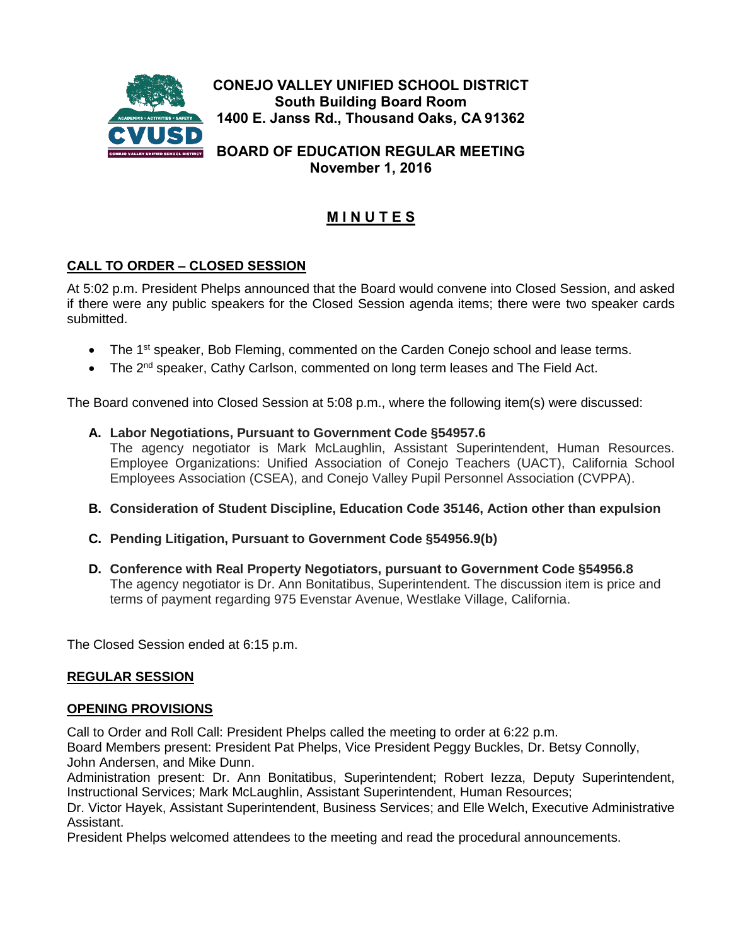

**November 1, 2016**

# **M I N U T E S**

# **CALL TO ORDER – CLOSED SESSION**

At 5:02 p.m. President Phelps announced that the Board would convene into Closed Session, and asked if there were any public speakers for the Closed Session agenda items; there were two speaker cards submitted.

- The 1<sup>st</sup> speaker, Bob Fleming, commented on the Carden Conejo school and lease terms.
- The 2<sup>nd</sup> speaker, Cathy Carlson, commented on long term leases and The Field Act.

The Board convened into Closed Session at 5:08 p.m., where the following item(s) were discussed:

- **A. Labor Negotiations, Pursuant to Government Code §54957.6** The agency negotiator is Mark McLaughlin, Assistant Superintendent, Human Resources. Employee Organizations: Unified Association of Conejo Teachers (UACT), California School Employees Association (CSEA), and Conejo Valley Pupil Personnel Association (CVPPA).
- **B. Consideration of Student Discipline, Education Code 35146, Action other than expulsion**
- **C. Pending Litigation, Pursuant to Government Code §54956.9(b)**
- **D. Conference with Real Property Negotiators, pursuant to Government Code §54956.8** The agency negotiator is Dr. Ann Bonitatibus, Superintendent. The discussion item is price and terms of payment regarding 975 Evenstar Avenue, Westlake Village, California.

The Closed Session ended at 6:15 p.m.

### **REGULAR SESSION**

#### **OPENING PROVISIONS**

Call to Order and Roll Call: President Phelps called the meeting to order at 6:22 p.m. Board Members present: President Pat Phelps, Vice President Peggy Buckles, Dr. Betsy Connolly, John Andersen, and Mike Dunn.

Administration present: Dr. Ann Bonitatibus, Superintendent; Robert Iezza, Deputy Superintendent, Instructional Services; Mark McLaughlin, Assistant Superintendent, Human Resources;

Dr. Victor Hayek, Assistant Superintendent, Business Services; and Elle Welch, Executive Administrative Assistant.

President Phelps welcomed attendees to the meeting and read the procedural announcements.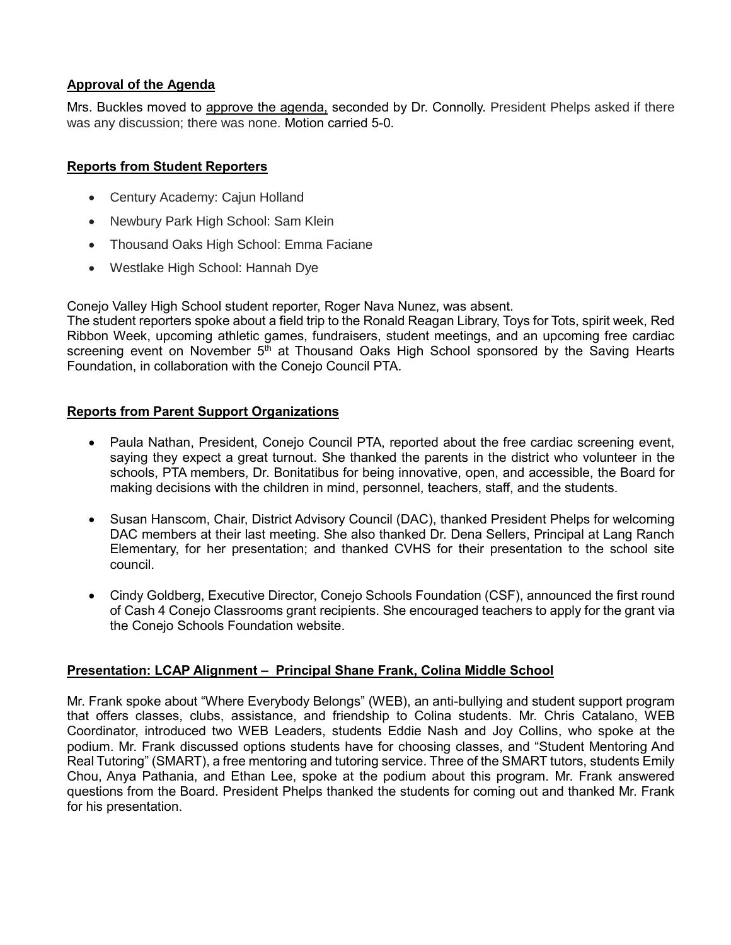## **Approval of the Agenda**

Mrs. Buckles moved to approve the agenda, seconded by Dr. Connolly. President Phelps asked if there was any discussion; there was none. Motion carried 5-0.

## **Reports from Student Reporters**

- Century Academy: Cajun Holland
- Newbury Park High School: Sam Klein
- Thousand Oaks High School: Emma Faciane
- Westlake High School: Hannah Dye

Conejo Valley High School student reporter, Roger Nava Nunez, was absent.

The student reporters spoke about a field trip to the Ronald Reagan Library, Toys for Tots, spirit week, Red Ribbon Week, upcoming athletic games, fundraisers, student meetings, and an upcoming free cardiac screening event on November 5<sup>th</sup> at Thousand Oaks High School sponsored by the Saving Hearts Foundation, in collaboration with the Conejo Council PTA.

## **Reports from Parent Support Organizations**

- Paula Nathan, President, Conejo Council PTA, reported about the free cardiac screening event, saying they expect a great turnout. She thanked the parents in the district who volunteer in the schools, PTA members, Dr. Bonitatibus for being innovative, open, and accessible, the Board for making decisions with the children in mind, personnel, teachers, staff, and the students.
- Susan Hanscom, Chair, District Advisory Council (DAC), thanked President Phelps for welcoming DAC members at their last meeting. She also thanked Dr. Dena Sellers, Principal at Lang Ranch Elementary, for her presentation; and thanked CVHS for their presentation to the school site council.
- Cindy Goldberg, Executive Director, Conejo Schools Foundation (CSF), announced the first round of Cash 4 Conejo Classrooms grant recipients. She encouraged teachers to apply for the grant via the Conejo Schools Foundation website.

# **Presentation: LCAP Alignment – Principal Shane Frank, Colina Middle School**

Mr. Frank spoke about "Where Everybody Belongs" (WEB), an anti-bullying and student support program that offers classes, clubs, assistance, and friendship to Colina students. Mr. Chris Catalano, WEB Coordinator, introduced two WEB Leaders, students Eddie Nash and Joy Collins, who spoke at the podium. Mr. Frank discussed options students have for choosing classes, and "Student Mentoring And Real Tutoring" (SMART), a free mentoring and tutoring service. Three of the SMART tutors, students Emily Chou, Anya Pathania, and Ethan Lee, spoke at the podium about this program. Mr. Frank answered questions from the Board. President Phelps thanked the students for coming out and thanked Mr. Frank for his presentation.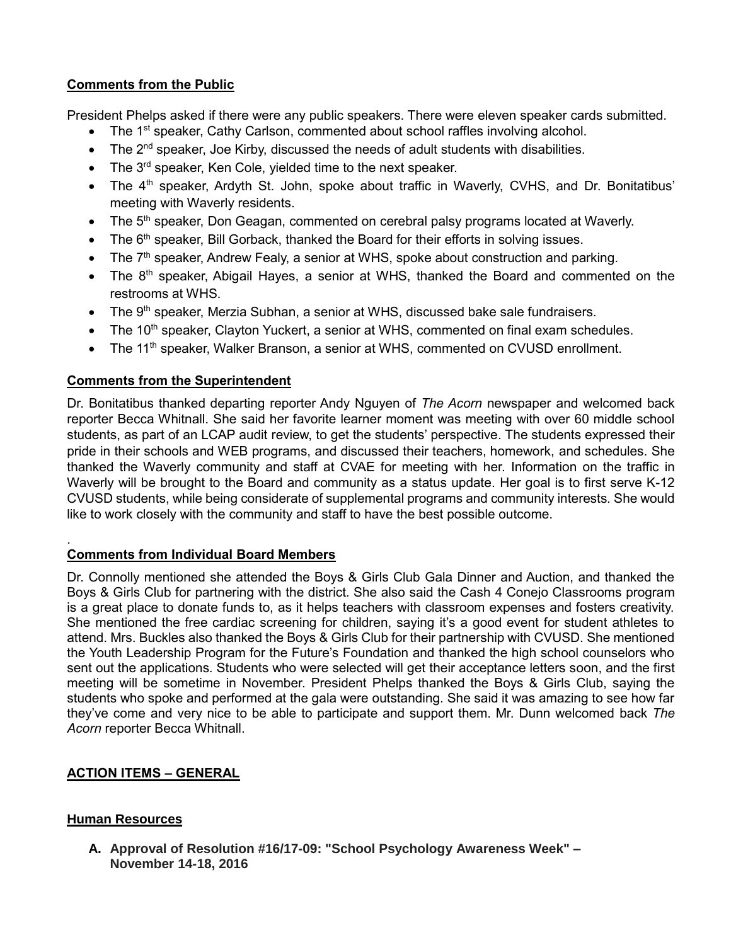# **Comments from the Public**

President Phelps asked if there were any public speakers. There were eleven speaker cards submitted.

- The 1<sup>st</sup> speaker, Cathy Carlson, commented about school raffles involving alcohol.
- $\bullet$  The 2<sup>nd</sup> speaker, Joe Kirby, discussed the needs of adult students with disabilities.
- $\bullet$  The 3<sup>rd</sup> speaker, Ken Cole, yielded time to the next speaker.
- The 4<sup>th</sup> speaker, Ardyth St. John, spoke about traffic in Waverly, CVHS, and Dr. Bonitatibus' meeting with Waverly residents.
- The 5<sup>th</sup> speaker, Don Geagan, commented on cerebral palsy programs located at Waverly.
- $\bullet$  The 6<sup>th</sup> speaker, Bill Gorback, thanked the Board for their efforts in solving issues.
- The  $7<sup>th</sup>$  speaker, Andrew Fealy, a senior at WHS, spoke about construction and parking.
- The 8<sup>th</sup> speaker, Abigail Hayes, a senior at WHS, thanked the Board and commented on the restrooms at WHS.
- The 9<sup>th</sup> speaker, Merzia Subhan, a senior at WHS, discussed bake sale fundraisers.
- $\bullet$  The 10<sup>th</sup> speaker, Clayton Yuckert, a senior at WHS, commented on final exam schedules.
- The 11<sup>th</sup> speaker, Walker Branson, a senior at WHS, commented on CVUSD enrollment.

# **Comments from the Superintendent**

Dr. Bonitatibus thanked departing reporter Andy Nguyen of *The Acorn* newspaper and welcomed back reporter Becca Whitnall. She said her favorite learner moment was meeting with over 60 middle school students, as part of an LCAP audit review, to get the students' perspective. The students expressed their pride in their schools and WEB programs, and discussed their teachers, homework, and schedules. She thanked the Waverly community and staff at CVAE for meeting with her. Information on the traffic in Waverly will be brought to the Board and community as a status update. Her goal is to first serve K-12 CVUSD students, while being considerate of supplemental programs and community interests. She would like to work closely with the community and staff to have the best possible outcome.

#### . **Comments from Individual Board Members**

Dr. Connolly mentioned she attended the Boys & Girls Club Gala Dinner and Auction, and thanked the Boys & Girls Club for partnering with the district. She also said the Cash 4 Conejo Classrooms program is a great place to donate funds to, as it helps teachers with classroom expenses and fosters creativity. She mentioned the free cardiac screening for children, saying it's a good event for student athletes to attend. Mrs. Buckles also thanked the Boys & Girls Club for their partnership with CVUSD. She mentioned the Youth Leadership Program for the Future's Foundation and thanked the high school counselors who sent out the applications. Students who were selected will get their acceptance letters soon, and the first meeting will be sometime in November. President Phelps thanked the Boys & Girls Club, saying the students who spoke and performed at the gala were outstanding. She said it was amazing to see how far they've come and very nice to be able to participate and support them. Mr. Dunn welcomed back *The Acorn* reporter Becca Whitnall.

# **ACTION ITEMS – GENERAL**

# **Human Resources**

**A. Approval of Resolution #16/17-09: "School Psychology Awareness Week" – November 14-18, 2016**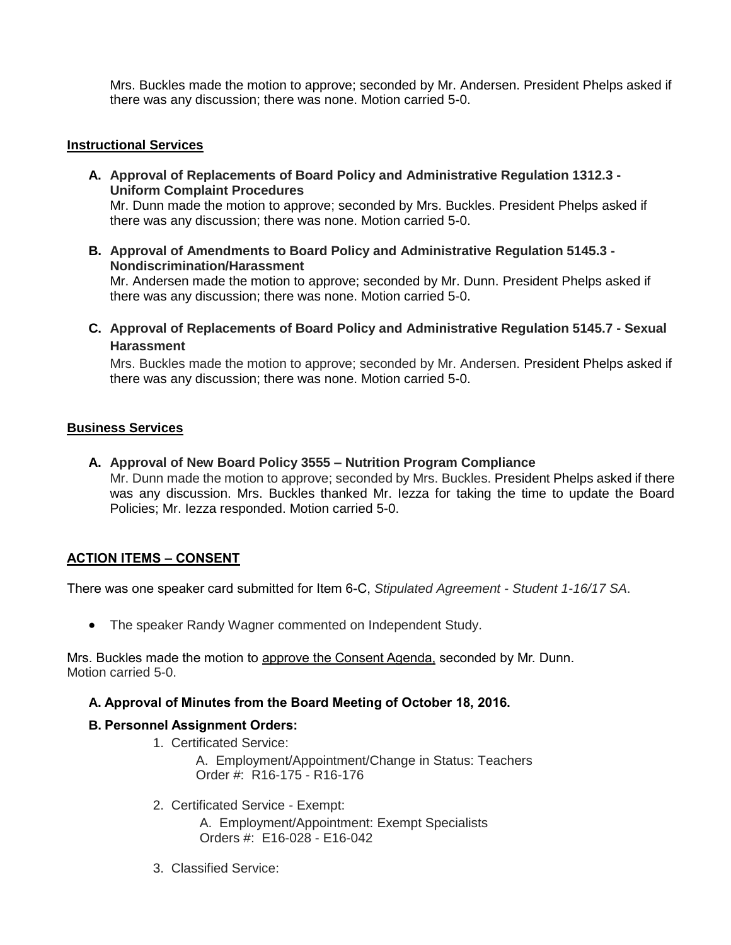Mrs. Buckles made the motion to approve; seconded by Mr. Andersen. President Phelps asked if there was any discussion; there was none. Motion carried 5-0.

#### **Instructional Services**

- **A. Approval of Replacements of Board Policy and Administrative Regulation 1312.3 - Uniform Complaint Procedures** Mr. Dunn made the motion to approve; seconded by Mrs. Buckles. President Phelps asked if there was any discussion; there was none. Motion carried 5-0.
- **B. Approval of Amendments to Board Policy and Administrative Regulation 5145.3 - Nondiscrimination/Harassment** Mr. Andersen made the motion to approve; seconded by Mr. Dunn. President Phelps asked if there was any discussion; there was none. Motion carried 5-0.
- **C. Approval of Replacements of Board Policy and Administrative Regulation 5145.7 - Sexual Harassment**

Mrs. Buckles made the motion to approve; seconded by Mr. Andersen. President Phelps asked if there was any discussion; there was none. Motion carried 5-0.

#### **Business Services**

**A. Approval of New Board Policy 3555 – Nutrition Program Compliance** Mr. Dunn made the motion to approve; seconded by Mrs. Buckles. President Phelps asked if there was any discussion. Mrs. Buckles thanked Mr. Iezza for taking the time to update the Board Policies; Mr. Iezza responded. Motion carried 5-0.

### **ACTION ITEMS – CONSENT**

There was one speaker card submitted for Item 6-C, *Stipulated Agreement - Student 1-16/17 SA*.

• The speaker Randy Wagner commented on Independent Study.

Mrs. Buckles made the motion to approve the Consent Agenda, seconded by Mr. Dunn. Motion carried 5-0.

#### **A. Approval of Minutes from the Board Meeting of October 18, 2016.**

#### **B. Personnel Assignment Orders:**

- 1. Certificated Service:
	- A. Employment/Appointment/Change in Status: Teachers Order #: R16-175 - R16-176
	- 2. Certificated Service Exempt:
		- A. Employment/Appointment: Exempt Specialists Orders #: E16-028 - E16-042
	- 3. Classified Service: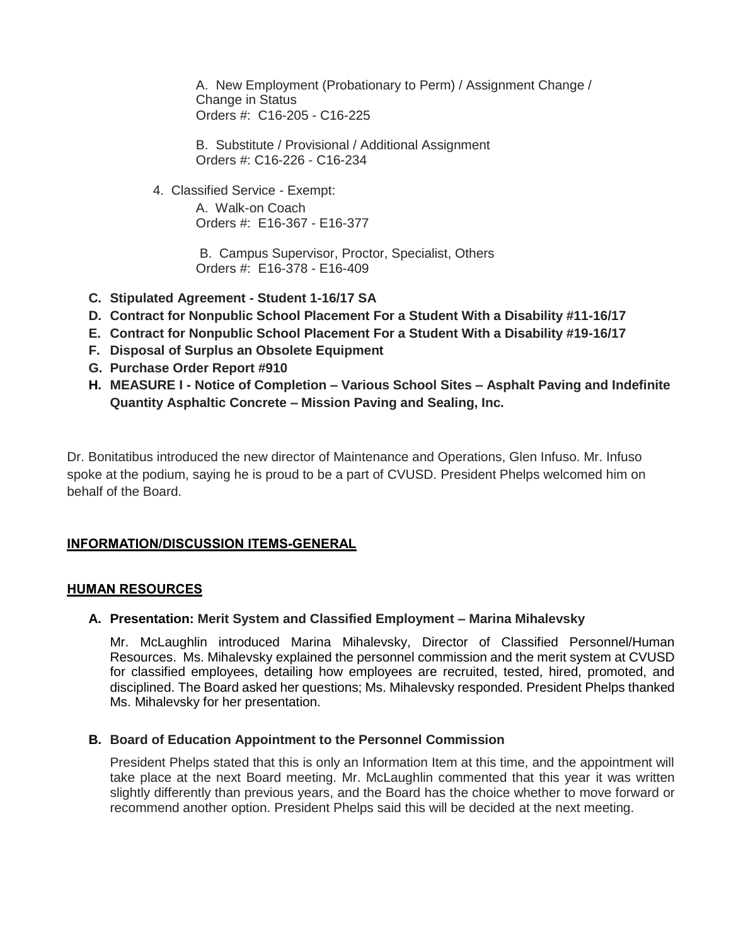A. New Employment (Probationary to Perm) / Assignment Change / Change in Status Orders #: C16-205 - C16-225

 B. Substitute / Provisional / Additional Assignment Orders #: C16-226 - C16-234

4. Classified Service - Exempt:

 A. Walk-on Coach Orders #: E16-367 - E16-377

 B. Campus Supervisor, Proctor, Specialist, Others Orders #: E16-378 - E16-409

- **C. Stipulated Agreement - Student 1-16/17 SA**
- **D. Contract for Nonpublic School Placement For a Student With a Disability #11-16/17**
- **E. Contract for Nonpublic School Placement For a Student With a Disability #19-16/17**
- **F. Disposal of Surplus an Obsolete Equipment**
- **G. Purchase Order Report #910**
- **H. MEASURE I - Notice of Completion – Various School Sites – Asphalt Paving and Indefinite Quantity Asphaltic Concrete – Mission Paving and Sealing, Inc.**

Dr. Bonitatibus introduced the new director of Maintenance and Operations, Glen Infuso. Mr. Infuso spoke at the podium, saying he is proud to be a part of CVUSD. President Phelps welcomed him on behalf of the Board.

### **INFORMATION/DISCUSSION ITEMS-GENERAL**

#### **HUMAN RESOURCES**

### **A. Presentation: Merit System and Classified Employment – Marina Mihalevsky**

Mr. McLaughlin introduced Marina Mihalevsky, Director of Classified Personnel/Human Resources. Ms. Mihalevsky explained the personnel commission and the merit system at CVUSD for classified employees, detailing how employees are recruited, tested, hired, promoted, and disciplined. The Board asked her questions; Ms. Mihalevsky responded. President Phelps thanked Ms. Mihalevsky for her presentation.

### **B. Board of Education Appointment to the Personnel Commission**

President Phelps stated that this is only an Information Item at this time, and the appointment will take place at the next Board meeting. Mr. McLaughlin commented that this year it was written slightly differently than previous years, and the Board has the choice whether to move forward or recommend another option. President Phelps said this will be decided at the next meeting.